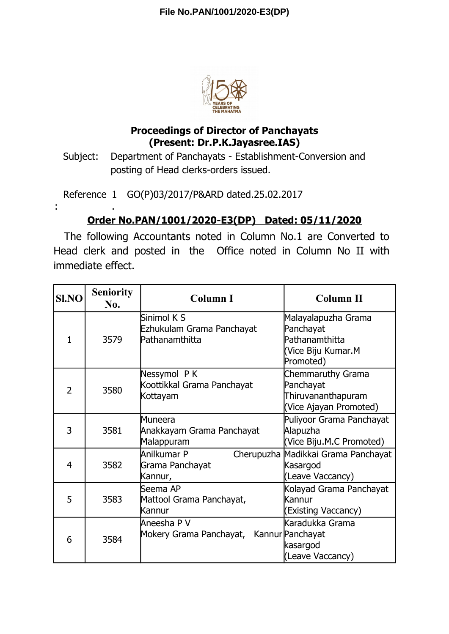

## **Proceedings of Director of Panchayats (Present: Dr.P.K.Jayasree.IAS)**

Subject: Department of Panchayats - Establishment-Conversion and posting of Head clerks-orders issued.

Reference 1 GO(P)03/2017/P&ARD dated.25.02.2017

:

.

## **Order No.PAN/1001/2020-E3(DP) Dated: 05/11/2020**

The following Accountants noted in Column No.1 are Converted to Head clerk and posted in the Office noted in Column No II with immediate effect.

| <b>SI.NO</b>   | <b>Seniority</b><br>No. | <b>Column I</b>                                            | Column II                                                                             |
|----------------|-------------------------|------------------------------------------------------------|---------------------------------------------------------------------------------------|
| $\mathbf{1}$   | 3579                    | Sinimol K S<br>Ezhukulam Grama Panchayat<br>Pathanamthitta | Malayalapuzha Grama<br>Panchayat<br>Pathanamthitta<br>(Vice Biju Kumar.M<br>Promoted) |
| $\overline{2}$ | 3580                    | Nessymol PK<br>Koottikkal Grama Panchayat<br>Kottayam      | Chemmaruthy Grama<br>Panchayat<br>Thiruvananthapuram<br>(Vice Ajayan Promoted)        |
| 3              | 3581                    | Muneera<br>Anakkayam Grama Panchayat<br>Malappuram         | Puliyoor Grama Panchayat<br>Alapuzha<br>(Vice Biju.M.C Promoted)                      |
| 4              | 3582                    | Anilkumar P<br>Grama Panchayat<br>Kannur,                  | Cherupuzha Madikkai Grama Panchayat<br>Kasargod<br>(Leave Vaccancy)                   |
| 5              | 3583                    | Seema AP<br>Mattool Grama Panchayat,<br>Kannur             | Kolayad Grama Panchayat<br>Kannur<br><b>Existing Vaccancy)</b>                        |
| 6              | 3584                    | Aneesha P V<br>Mokery Grama Panchayat,                     | Karadukka Grama<br>Kannur Panchayat<br>kasargod<br>(Leave Vaccancy)                   |